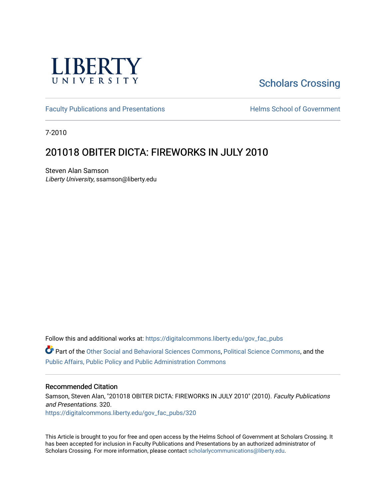

# [Scholars Crossing](https://digitalcommons.liberty.edu/)

[Faculty Publications and Presentations](https://digitalcommons.liberty.edu/gov_fac_pubs) **Exercise School of Government** 

7-2010

# 201018 OBITER DICTA: FIREWORKS IN JULY 2010

Steven Alan Samson Liberty University, ssamson@liberty.edu

Follow this and additional works at: [https://digitalcommons.liberty.edu/gov\\_fac\\_pubs](https://digitalcommons.liberty.edu/gov_fac_pubs?utm_source=digitalcommons.liberty.edu%2Fgov_fac_pubs%2F320&utm_medium=PDF&utm_campaign=PDFCoverPages)

Part of the [Other Social and Behavioral Sciences Commons](http://network.bepress.com/hgg/discipline/437?utm_source=digitalcommons.liberty.edu%2Fgov_fac_pubs%2F320&utm_medium=PDF&utm_campaign=PDFCoverPages), [Political Science Commons](http://network.bepress.com/hgg/discipline/386?utm_source=digitalcommons.liberty.edu%2Fgov_fac_pubs%2F320&utm_medium=PDF&utm_campaign=PDFCoverPages), and the [Public Affairs, Public Policy and Public Administration Commons](http://network.bepress.com/hgg/discipline/393?utm_source=digitalcommons.liberty.edu%2Fgov_fac_pubs%2F320&utm_medium=PDF&utm_campaign=PDFCoverPages)

## Recommended Citation

Samson, Steven Alan, "201018 OBITER DICTA: FIREWORKS IN JULY 2010" (2010). Faculty Publications and Presentations. 320. [https://digitalcommons.liberty.edu/gov\\_fac\\_pubs/320](https://digitalcommons.liberty.edu/gov_fac_pubs/320?utm_source=digitalcommons.liberty.edu%2Fgov_fac_pubs%2F320&utm_medium=PDF&utm_campaign=PDFCoverPages)

This Article is brought to you for free and open access by the Helms School of Government at Scholars Crossing. It has been accepted for inclusion in Faculty Publications and Presentations by an authorized administrator of Scholars Crossing. For more information, please contact [scholarlycommunications@liberty.edu.](mailto:scholarlycommunications@liberty.edu)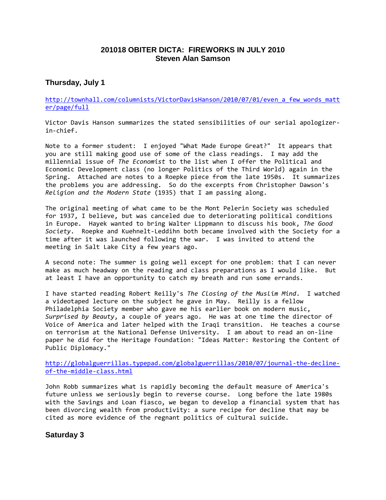# **201018 OBITER DICTA: FIREWORKS IN JULY 2010 Steven Alan Samson**

# **Thursday, July 1**

[http://townhall.com/columnists/VictorDavisHanson/2010/07/01/even\\_a\\_few\\_words\\_matt](http://townhall.com/columnists/VictorDavisHanson/2010/07/01/even_a_few_words_matter/page/full) [er/page/full](http://townhall.com/columnists/VictorDavisHanson/2010/07/01/even_a_few_words_matter/page/full)

Victor Davis Hanson summarizes the stated sensibilities of our serial apologizerin-chief.

Note to a former student: I enjoyed "What Made Europe Great?" It appears that you are still making good use of some of the class readings. I may add the millennial issue of *The Economist* to the list when I offer the Political and Economic Development class (no longer Politics of the Third World) again in the Spring. Attached are notes to a Roepke piece from the late 1950s. It summarizes the problems you are addressing. So do the excerpts from Christopher Dawson's *Religion and the Modern State* (1935) that I am passing along.

The original meeting of what came to be the Mont Pelerin Society was scheduled for 1937, I believe, but was canceled due to deteriorating political conditions in Europe. Hayek wanted to bring Walter Lippmann to discuss his book, *The Good Society*. Roepke and Kuehnelt-Leddihn both became involved with the Society for a time after it was launched following the war. I was invited to attend the meeting in Salt Lake City a few years ago.

A second note: The summer is going well except for one problem: that I can never make as much headway on the reading and class preparations as I would like. But at least I have an opportunity to catch my breath and run some errands.

I have started reading Robert Reilly's *The Closing of the Muslim Mind*. I watched a videotaped lecture on the subject he gave in May. Reilly is a fellow Philadelphia Society member who gave me his earlier book on modern music, *Surprised by Beauty*, a couple of years ago. He was at one time the director of Voice of America and later helped with the Iraqi transition. He teaches a course on terrorism at the National Defense University. I am about to read an on-line paper he did for the Heritage Foundation: "Ideas Matter: Restoring the Content of Public Diplomacy."

[http://globalguerrillas.typepad.com/globalguerrillas/2010/07/journal-the-decline](http://globalguerrillas.typepad.com/globalguerrillas/2010/07/journal-the-decline-of-the-middle-class.html)[of-the-middle-class.html](http://globalguerrillas.typepad.com/globalguerrillas/2010/07/journal-the-decline-of-the-middle-class.html)

John Robb summarizes what is rapidly becoming the default measure of America's future unless we seriously begin to reverse course. Long before the late 1980s with the Savings and Loan fiasco, we began to develop a financial system that has been divorcing wealth from productivity: a sure recipe for decline that may be cited as more evidence of the regnant politics of cultural suicide.

**Saturday 3**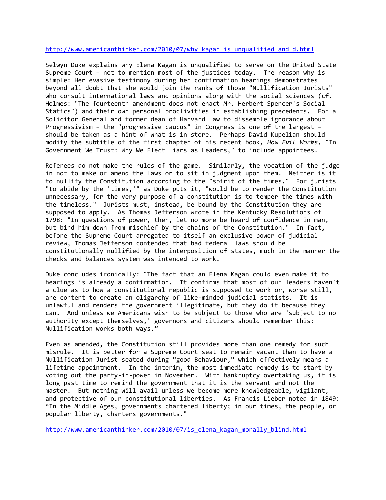#### http://www.americanthinker.com/2010/07/why kagan is unqualified and d.html

Selwyn Duke explains why Elena Kagan is unqualified to serve on the United State Supreme Court – not to mention most of the justices today. The reason why is simple: Her evasive testimony during her confirmation hearings demonstrates beyond all doubt that she would join the ranks of those "Nullification Jurists" who consult international laws and opinions along with the social sciences (cf. Holmes: "The fourteenth amendment does not enact Mr. Herbert Spencer's Social Statics") and their own personal proclivities in establishing precedents. For a Solicitor General and former dean of Harvard Law to dissemble ignorance about Progressivism – the "progressive caucus" in Congress is one of the largest – should be taken as a hint of what is in store. Perhaps David Kupelian should modify the subtitle of the first chapter of his recent book, *How Evil Works*, "In Government We Trust: Why We Elect Liars as Leaders," to include appointees.

Referees do not make the rules of the game. Similarly, the vocation of the judge in not to make or amend the laws or to sit in judgment upon them. Neither is it to nullify the Constitution according to the "spirit of the times." For jurists "to abide by the 'times,'" as Duke puts it, "would be to render the Constitution unnecessary, for the very purpose of a constitution is to temper the times with the timeless." Jurists must, instead, be bound by the Constitution they are supposed to apply. As Thomas Jefferson wrote in the Kentucky Resolutions of 1798: "In questions of power, then, let no more be heard of confidence in man, but bind him down from mischief by the chains of the Constitution." In fact, before the Supreme Court arrogated to itself an exclusive power of judicial review, Thomas Jefferson contended that bad federal laws should be constitutionally nullified by the interposition of states, much in the manner the checks and balances system was intended to work.

Duke concludes ironically: "The fact that an Elena Kagan could even make it to hearings is already a confirmation. It confirms that most of our leaders haven't a clue as to how a constitutional republic is supposed to work or, worse still, are content to create an oligarchy of like-minded judicial statists. It is unlawful and renders the government illegitimate, but they do it because they can. And unless we Americans wish to be subject to those who are 'subject to no authority except themselves,' governors and citizens should remember this: Nullification works both ways."

Even as amended, the Constitution still provides more than one remedy for such misrule. It is better for a Supreme Court seat to remain vacant than to have a Nullification Jurist seated during "good Behaviour," which effectively means a lifetime appointment. In the interim, the most immediate remedy is to start by voting out the party-in-power in November. With bankruptcy overtaking us, it is long past time to remind the government that it is the servant and not the master. But nothing will avail unless we become more knowledgeable, vigilant, and protective of our constitutional liberties. As Francis Lieber noted in 1849: "In the Middle Ages, governments chartered liberty; in our times, the people, or popular liberty, charters governments."

[http://www.americanthinker.com/2010/07/is\\_elena\\_kagan\\_morally\\_blind.html](http://www.americanthinker.com/2010/07/is_elena_kagan_morally_blind.html)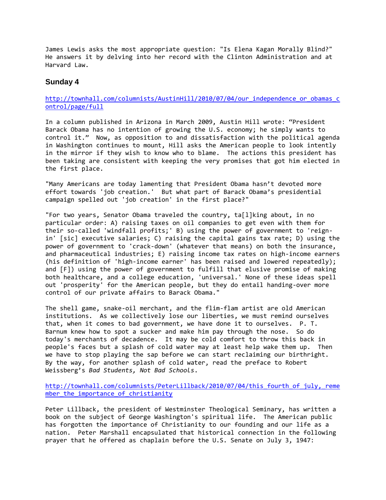James Lewis asks the most appropriate question: "Is Elena Kagan Morally Blind?" He answers it by delving into her record with the Clinton Administration and at Harvard Law.

## **Sunday 4**

### [http://townhall.com/columnists/AustinHill/2010/07/04/our\\_independence\\_or\\_obamas\\_c](http://townhall.com/columnists/AustinHill/2010/07/04/our_independence_or_obamas_control/page/full) [ontrol/page/full](http://townhall.com/columnists/AustinHill/2010/07/04/our_independence_or_obamas_control/page/full)

In a column published in Arizona in March 2009, Austin Hill wrote: "President Barack Obama has no intention of growing the U.S. economy; he simply wants to control it." Now, as opposition to and dissatisfaction with the political agenda in Washington continues to mount, Hill asks the American people to look intently in the mirror if they wish to know who to blame. The actions this president has been taking are consistent with keeping the very promises that got him elected in the first place.

"Many Americans are today lamenting that President Obama hasn't devoted more effort towards 'job creation.' But what part of Barack Obama's presidential campaign spelled out 'job creation' in the first place?"

"For two years, Senator Obama traveled the country, ta[l]king about, in no particular order: A) raising taxes on oil companies to get even with them for their so-called 'windfall profits;' B) using the power of government to 'reignin' [sic] executive salaries; C) raising the capital gains tax rate; D) using the power of government to 'crack-down' (whatever that means) on both the insurance, and pharmaceutical industries; E) raising income tax rates on high-income earners (his definition of 'high-income earner' has been raised and lowered repeatedly); and [F]) using the power of government to fulfill that elusive promise of making both healthcare, and a college education, 'universal.' None of these ideas spell out 'prosperity' for the American people, but they do entail handing-over more control of our private affairs to Barack Obama."

The shell game, snake-oil merchant, and the flim-flam artist are old American institutions. As we collectively lose our liberties, we must remind ourselves that, when it comes to bad government, we have done it to ourselves. P. T. Barnum knew how to spot a sucker and make him pay through the nose. So do today's merchants of decadence. It may be cold comfort to throw this back in people's faces but a splash of cold water may at least help wake them up. Then we have to stop playing the sap before we can start reclaiming our birthright. By the way, for another splash of cold water, read the preface to Robert Weissberg's *Bad Students, Not Bad Schools*.

http://townhall.com/columnists/PeterLillback/2010/07/04/this\_fourth of july, reme mber the importance of christianity

Peter Lillback, the president of Westminster Theological Seminary, has written a book on the subject of George Washington's spiritual life. The American public has forgotten the importance of Christianity to our founding and our life as a nation. Peter Marshall encapsulated that historical connection in the following prayer that he offered as chaplain before the U.S. Senate on July 3, 1947: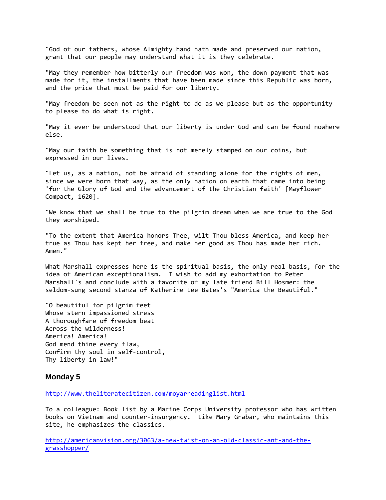"God of our fathers, whose Almighty hand hath made and preserved our nation, grant that our people may understand what it is they celebrate.

"May they remember how bitterly our freedom was won, the down payment that was made for it, the installments that have been made since this Republic was born, and the price that must be paid for our liberty.

"May freedom be seen not as the right to do as we please but as the opportunity to please to do what is right.

"May it ever be understood that our liberty is under God and can be found nowhere else.

"May our faith be something that is not merely stamped on our coins, but expressed in our lives.

"Let us, as a nation, not be afraid of standing alone for the rights of men, since we were born that way, as the only nation on earth that came into being 'for the Glory of God and the advancement of the Christian faith' [Mayflower Compact, 1620].

"We know that we shall be true to the pilgrim dream when we are true to the God they worshiped.

"To the extent that America honors Thee, wilt Thou bless America, and keep her true as Thou has kept her free, and make her good as Thou has made her rich. Amen."

What Marshall expresses here is the spiritual basis, the only real basis, for the idea of American exceptionalism. I wish to add my exhortation to Peter Marshall's and conclude with a favorite of my late friend Bill Hosmer: the seldom-sung second stanza of Katherine Lee Bates's "America the Beautiful."

"O beautiful for pilgrim feet Whose stern impassioned stress A thoroughfare of freedom beat Across the wilderness! America! America! God mend thine every flaw, Confirm thy soul in self-control, Thy liberty in law!"

#### **Monday 5**

<http://www.theliteratecitizen.com/moyarreadinglist.html>

To a colleague: Book list by a Marine Corps University professor who has written books on Vietnam and counter-insurgency. Like Mary Grabar, who maintains this site, he emphasizes the classics.

[http://americanvision.org/3063/a-new-twist-on-an-old-classic-ant-and-the](http://americanvision.org/3063/a-new-twist-on-an-old-classic-ant-and-the-grasshopper/)[grasshopper/](http://americanvision.org/3063/a-new-twist-on-an-old-classic-ant-and-the-grasshopper/)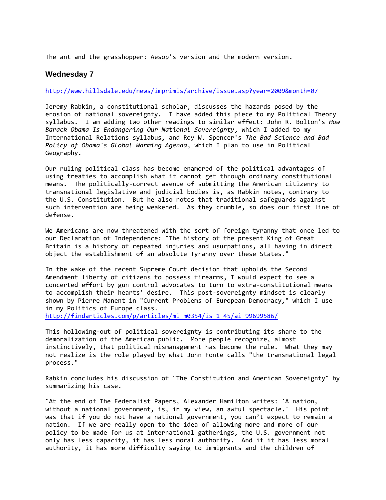The ant and the grasshopper: Aesop's version and the modern version.

## **Wednesday 7**

#### <http://www.hillsdale.edu/news/imprimis/archive/issue.asp?year=2009&month=07>

Jeremy Rabkin, a constitutional scholar, discusses the hazards posed by the erosion of national sovereignty. I have added this piece to my Political Theory syllabus. I am adding two other readings to similar effect: John R. Bolton's *How Barack Obama Is Endangering Our National Sovereignty*, which I added to my International Relations syllabus, and Roy W. Spencer's *The Bad Science and Bad Policy of Obama's Global Warming Agenda*, which I plan to use in Political Geography.

Our ruling political class has become enamored of the political advantages of using treaties to accomplish what it cannot get through ordinary constitutional means. The politically-correct avenue of submitting the American citizenry to transnational legislative and judicial bodies is, as Rabkin notes, contrary to the U.S. Constitution. But he also notes that traditional safeguards against such intervention are being weakened. As they crumble, so does our first line of defense.

We Americans are now threatened with the sort of foreign tyranny that once led to our Declaration of Independence: "The history of the present King of Great Britain is a history of repeated injuries and usurpations, all having in direct object the establishment of an absolute Tyranny over these States."

In the wake of the recent Supreme Court decision that upholds the Second Amendment liberty of citizens to possess firearms, I would expect to see a concerted effort by gun control advocates to turn to extra-constitutional means to accomplish their hearts' desire. This post-sovereignty mindset is clearly shown by Pierre Manent in "Current Problems of European Democracy," which I use in my Politics of Europe class.

[http://findarticles.com/p/articles/mi\\_m0354/is\\_1\\_45/ai\\_99699586/](http://findarticles.com/p/articles/mi_m0354/is_1_45/ai_99699586/)

This hollowing-out of political sovereignty is contributing its share to the demoralization of the American public. More people recognize, almost instinctively, that political mismanagement has become the rule. What they may not realize is the role played by what John Fonte calls "the transnational legal process."

Rabkin concludes his discussion of "The Constitution and American Sovereignty" by summarizing his case.

"At the end of The Federalist Papers, Alexander Hamilton writes: 'A nation, without a national government, is, in my view, an awful spectacle.' His point was that if you do not have a national government, you can't expect to remain a nation. If we are really open to the idea of allowing more and more of our policy to be made for us at international gatherings, the U.S. government not only has less capacity, it has less moral authority. And if it has less moral authority, it has more difficulty saying to immigrants and the children of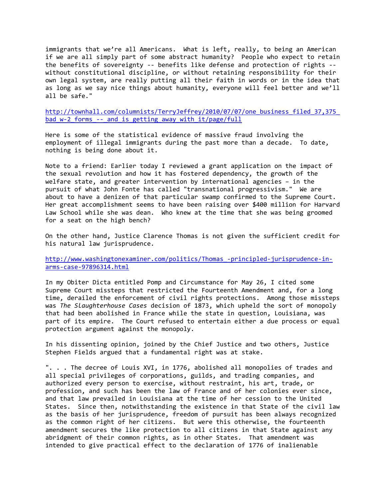immigrants that we're all Americans. What is left, really, to being an American if we are all simply part of some abstract humanity? People who expect to retain the benefits of sovereignty -- benefits like defense and protection of rights - without constitutional discipline, or without retaining responsibility for their own legal system, are really putting all their faith in words or in the idea that as long as we say nice things about humanity, everyone will feel better and we'll all be safe."

[http://townhall.com/columnists/TerryJeffrey/2010/07/07/one\\_business\\_filed\\_37,375\\_](http://townhall.com/columnists/TerryJeffrey/2010/07/07/one_business_filed_37,375_bad_w-2_forms_--_and_is_getting_away_with_it/page/full) bad w-2 forms -- and is getting away with it/page/full

Here is some of the statistical evidence of massive fraud involving the employment of illegal immigrants during the past more than a decade. To date, nothing is being done about it.

Note to a friend: Earlier today I reviewed a grant application on the impact of the sexual revolution and how it has fostered dependency, the growth of the welfare state, and greater intervention by international agencies – in the pursuit of what John Fonte has called "transnational progressivism." We are about to have a denizen of that particular swamp confirmed to the Supreme Court. Her great accomplishment seems to have been raising over \$400 million for Harvard Law School while she was dean. Who knew at the time that she was being groomed for a seat on the high bench?

On the other hand, Justice Clarence Thomas is not given the sufficient credit for his natural law jurisprudence.

[http://www.washingtonexaminer.com/politics/Thomas\\_-principled-jurisprudence-in](http://www.washingtonexaminer.com/politics/Thomas_-principled-jurisprudence-in-arms-case-97896314.html)[arms-case-97896314.html](http://www.washingtonexaminer.com/politics/Thomas_-principled-jurisprudence-in-arms-case-97896314.html)

In my Obiter Dicta entitled Pomp and Circumstance for May 26, I cited some Supreme Court missteps that restricted the Fourteenth Amendment and, for a long time, derailed the enforcement of civil rights protections. Among those missteps was *The Slaughterhouse Cases* decision of 1873, which upheld the sort of monopoly that had been abolished in France while the state in question, Louisiana, was part of its empire. The Court refused to entertain either a due process or equal protection argument against the monopoly.

In his dissenting opinion, joined by the Chief Justice and two others, Justice Stephen Fields argued that a fundamental right was at stake.

". . . The decree of Louis XVI, in 1776, abolished all monopolies of trades and all special privileges of corporations, guilds, and trading companies, and authorized every person to exercise, without restraint, his art, trade, or profession, and such has been the law of France and of her colonies ever since, and that law prevailed in Louisiana at the time of her cession to the United States. Since then, notwithstanding the existence in that State of the civil law as the basis of her jurisprudence, freedom of pursuit has been always recognized as the common right of her citizens. But were this otherwise, the fourteenth amendment secures the like protection to all citizens in that State against any abridgment of their common rights, as in other States. That amendment was intended to give practical effect to the declaration of 1776 of inalienable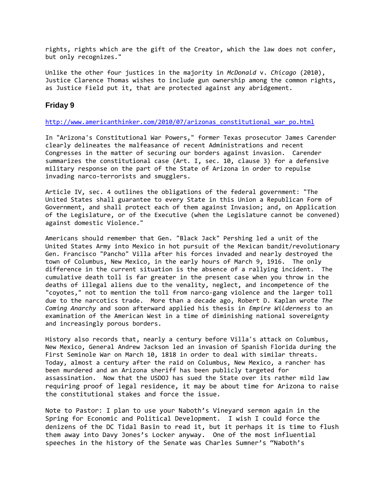rights, rights which are the gift of the Creator, which the law does not confer, but only recognizes."

Unlike the other four justices in the majority in *McDonald* v. *Chicago* (2010), Justice Clarence Thomas wishes to include gun ownership among the common rights, as Justice Field put it, that are protected against any abridgement.

## **Friday 9**

#### [http://www.americanthinker.com/2010/07/arizonas\\_constitutional\\_war\\_po.html](http://www.americanthinker.com/2010/07/arizonas_constitutional_war_po.html)

In "Arizona's Constitutional War Powers," former Texas prosecutor James Carender clearly delineates the malfeasance of recent Administrations and recent Congresses in the matter of securing our borders against invasion. Carender summarizes the constitutional case (Art. I, sec. 10, clause 3) for a defensive military response on the part of the State of Arizona in order to repulse invading narco-terrorists and smugglers.

Article IV, sec. 4 outlines the obligations of the federal government: "The United States shall guarantee to every State in this Union a Republican Form of Government, and shall protect each of them against Invasion; and, on Application of the Legislature, or of the Executive (when the Legislature cannot be convened) against domestic Violence."

Americans should remember that Gen. "Black Jack" Pershing led a unit of the United States Army into Mexico in hot pursuit of the Mexican bandit/revolutionary Gen. Francisco "Pancho" Villa after his forces invaded and nearly destroyed the town of Columbus, New Mexico, in the early hours of March 9, 1916. The only difference in the current situation is the absence of a rallying incident. The cumulative death toll is far greater in the present case when you throw in the deaths of illegal aliens due to the venality, neglect, and incompetence of the "coyotes," not to mention the toll from narco-gang violence and the larger toll due to the narcotics trade. More than a decade ago, Robert D. Kaplan wrote *The Coming Anarchy* and soon afterward applied his thesis in *Empire Wilderness* to an examination of the American West in a time of diminishing national sovereignty and increasingly porous borders.

History also records that, nearly a century before Villa's attack on Columbus, New Mexico, General Andrew Jackson led an invasion of Spanish Florida during the First Seminole War on March 10, 1818 in order to deal with similar threats. Today, almost a century after the raid on Columbus, New Mexico, a rancher has been murdered and an Arizona sheriff has been publicly targeted for assassination. Now that the USDOJ has sued the State over its rather mild law requiring proof of legal residence, it may be about time for Arizona to raise the constitutional stakes and force the issue.

Note to Pastor: I plan to use your Naboth's Vineyard sermon again in the Spring for Economic and Political Development. I wish I could force the denizens of the DC Tidal Basin to read it, but it perhaps it is time to flush them away into Davy Jones's Locker anyway. One of the most influential speeches in the history of the Senate was Charles Sumner's "Naboth's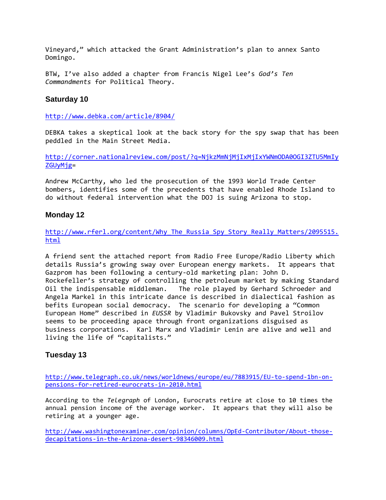Vineyard," which attacked the Grant Administration's plan to annex Santo Domingo.

BTW, I've also added a chapter from Francis Nigel Lee's *God's Ten Commandments* for Political Theory.

## **Saturday 10**

<http://www.debka.com/article/8904/>

DEBKA takes a skeptical look at the back story for the spy swap that has been peddled in the Main Street Media.

[http://corner.nationalreview.com/post/?q=NjkzMmNjMjIxMjIxYWNmODA0OGI3ZTU5MmIy](http://corner.nationalreview.com/post/?q=NjkzMmNjMjIxMjIxYWNmODA0OGI3ZTU5MmIyZGUyMjg) [ZGUyMjg=](http://corner.nationalreview.com/post/?q=NjkzMmNjMjIxMjIxYWNmODA0OGI3ZTU5MmIyZGUyMjg)

Andrew McCarthy, who led the prosecution of the 1993 World Trade Center bombers, identifies some of the precedents that have enabled Rhode Island to do without federal intervention what the DOJ is suing Arizona to stop.

## **Monday 12**

[http://www.rferl.org/content/Why\\_The\\_Russia\\_Spy\\_Story\\_Really\\_Matters/2095515.](http://www.rferl.org/content/Why_The_Russia_Spy_Story_Really_Matters/2095515.html) [html](http://www.rferl.org/content/Why_The_Russia_Spy_Story_Really_Matters/2095515.html)

A friend sent the attached report from Radio Free Europe/Radio Liberty which details Russia's growing sway over European energy markets. It appears that Gazprom has been following a century-old marketing plan: John D. Rockefeller's strategy of controlling the petroleum market by making Standard Oil the indispensable middleman. The role played by Gerhard Schroeder and Angela Markel in this intricate dance is described in dialectical fashion as befits European social democracy. The scenario for developing a "Common European Home" described in *EUSSR* by Vladimir Bukovsky and Pavel Stroilov seems to be proceeding apace through front organizations disguised as business corporations. Karl Marx and Vladimir Lenin are alive and well and living the life of "capitalists."

## **Tuesday 13**

[http://www.telegraph.co.uk/news/worldnews/europe/eu/7883915/EU-to-spend-1bn-on](http://www.telegraph.co.uk/news/worldnews/europe/eu/7883915/EU-to-spend-1bn-on-pensions-for-retired-eurocrats-in-2010.html)[pensions-for-retired-eurocrats-in-2010.html](http://www.telegraph.co.uk/news/worldnews/europe/eu/7883915/EU-to-spend-1bn-on-pensions-for-retired-eurocrats-in-2010.html)

According to the *Telegraph* of London, Eurocrats retire at close to 10 times the annual pension income of the average worker. It appears that they will also be retiring at a younger age.

[http://www.washingtonexaminer.com/opinion/columns/OpEd-Contributor/About-those](http://www.washingtonexaminer.com/opinion/columns/OpEd-Contributor/About-those-decapitations-in-the-Arizona-desert-98346009.html)[decapitations-in-the-Arizona-desert-98346009.html](http://www.washingtonexaminer.com/opinion/columns/OpEd-Contributor/About-those-decapitations-in-the-Arizona-desert-98346009.html)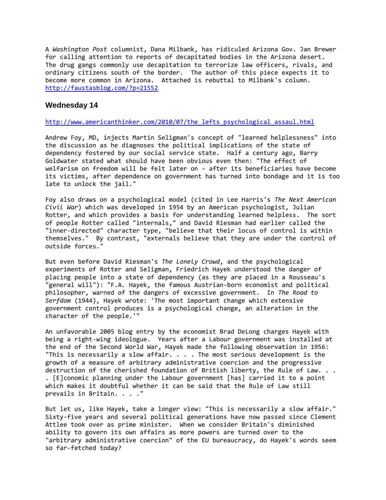A *Washington Post* columnist, Dana Milbank, has ridiculed Arizona Gov. Jan Brewer for calling attention to reports of decapitated bodies in the Arizona desert. The drug gangs commonly use decapitation to terrorize law officers, rivals, and ordinary citizens south of the border. The author of this piece expects it to become more common in Arizona. Attached is rebuttal to Milbank's column. <http://faustasblog.com/?p=21552>

### **Wednesday 14**

#### [http://www.americanthinker.com/2010/07/the\\_lefts\\_psychological\\_assaul.html](http://www.americanthinker.com/2010/07/the_lefts_psychological_assaul.html)

Andrew Foy, MD, injects Martin Seligman's concept of "learned helplessness" into the discussion as he diagnoses the political implications of the state of dependency fostered by our social service state. Half a century ago, Barry Goldwater stated what should have been obvious even then: "The effect of welfarism on freedom will be felt later on – after its beneficiaries have become its victims, after dependence on government has turned into bondage and it is too late to unlock the jail."

Foy also draws on a psychological model (cited in Lee Harris's *The Next American Civil War*) which was developed in 1954 by an American psychologist, Julian Rotter, and which provides a basis for understanding learned helpless. The sort of people Rotter called "internals," and David Riesman had earlier called the "inner-directed" character type, "believe that their locus of control is within themselves." By contrast, "externals believe that they are under the control of outside forces."

But even before David Riesman's *The Lonely Crowd*, and the psychological experiments of Rotter and Seligman, Friedrich Hayek understood the danger of placing people into a state of dependency (as they are placed in a Rousseau's "general will"): "F.A. Hayek, the famous Austrian-born economist and political philosopher, warned of the dangers of excessive government. In *The Road to Serfdom* (1944), Hayek wrote: 'The most important change which extensive government control produces is a psychological change, an alteration in the character of the people.'"

An unfavorable 2005 blog entry by the economist Brad DeLong charges Hayek with being a right-wing ideologue. Years after a Labour government was installed at the end of the Second World War, Hayek made the following observation in 1956: "This is necessarily a slow affair. . . . The most serious development is the growth of a measure of arbitrary administrative coercion and the progressive destruction of the cherished foundation of British liberty, the Rule of Law. . . . [E]conomic planning under the Labour government [has] carried it to a point which makes it doubtful whether it can be said that the Rule of Law still prevails in Britain. . . . "

But let us, like Hayek, take a longer view: "This is necessarily a slow affair." Sixty-five years and several political generations have now passed since Clement Attlee took over as prime minister. When we consider Britain's diminished ability to govern its own affairs as more powers are turned over to the "arbitrary administrative coercion" of the EU bureaucracy, do Hayek's words seem so far-fetched today?